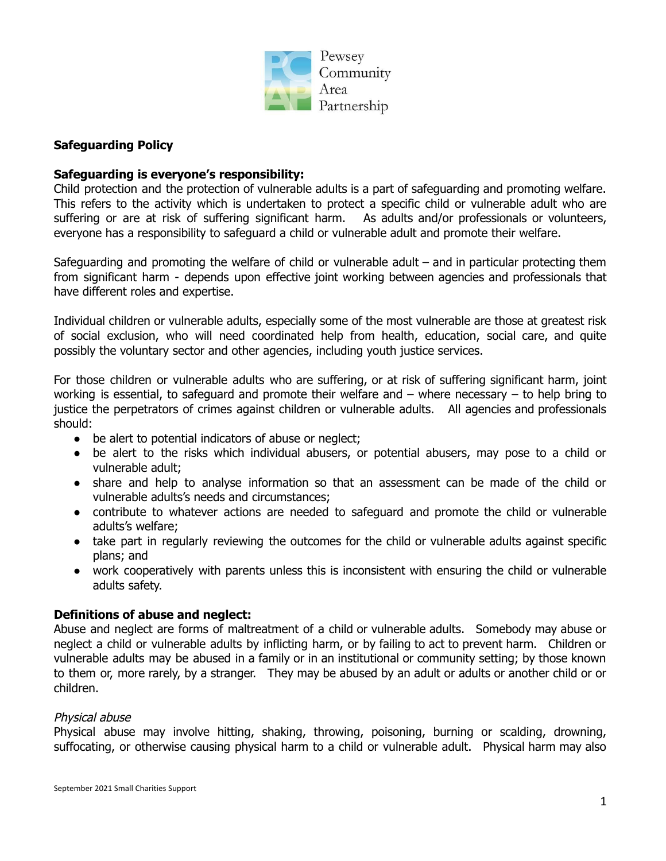

## **Safeguarding Policy**

### **Safeguarding is everyone's responsibility:**

Child protection and the protection of vulnerable adults is a part of safeguarding and promoting welfare. This refers to the activity which is undertaken to protect a specific child or vulnerable adult who are suffering or are at risk of suffering significant harm. As adults and/or professionals or volunteers, everyone has a responsibility to safeguard a child or vulnerable adult and promote their welfare.

Safeguarding and promoting the welfare of child or vulnerable adult – and in particular protecting them from significant harm - depends upon effective joint working between agencies and professionals that have different roles and expertise.

Individual children or vulnerable adults, especially some of the most vulnerable are those at greatest risk of social exclusion, who will need coordinated help from health, education, social care, and quite possibly the voluntary sector and other agencies, including youth justice services.

For those children or vulnerable adults who are suffering, or at risk of suffering significant harm, joint working is essential, to safeguard and promote their welfare and – where necessary – to help bring to justice the perpetrators of crimes against children or vulnerable adults. All agencies and professionals should:

- be alert to potential indicators of abuse or neglect;
- be alert to the risks which individual abusers, or potential abusers, may pose to a child or vulnerable adult;
- share and help to analyse information so that an assessment can be made of the child or vulnerable adults's needs and circumstances;
- contribute to whatever actions are needed to safeguard and promote the child or vulnerable adults's welfare;
- take part in regularly reviewing the outcomes for the child or vulnerable adults against specific plans; and
- work cooperatively with parents unless this is inconsistent with ensuring the child or vulnerable adults safety.

### **Definitions of abuse and neglect:**

Abuse and neglect are forms of maltreatment of a child or vulnerable adults. Somebody may abuse or neglect a child or vulnerable adults by inflicting harm, or by failing to act to prevent harm. Children or vulnerable adults may be abused in a family or in an institutional or community setting; by those known to them or, more rarely, by a stranger. They may be abused by an adult or adults or another child or or children.

### Physical abuse

Physical abuse may involve hitting, shaking, throwing, poisoning, burning or scalding, drowning, suffocating, or otherwise causing physical harm to a child or vulnerable adult. Physical harm may also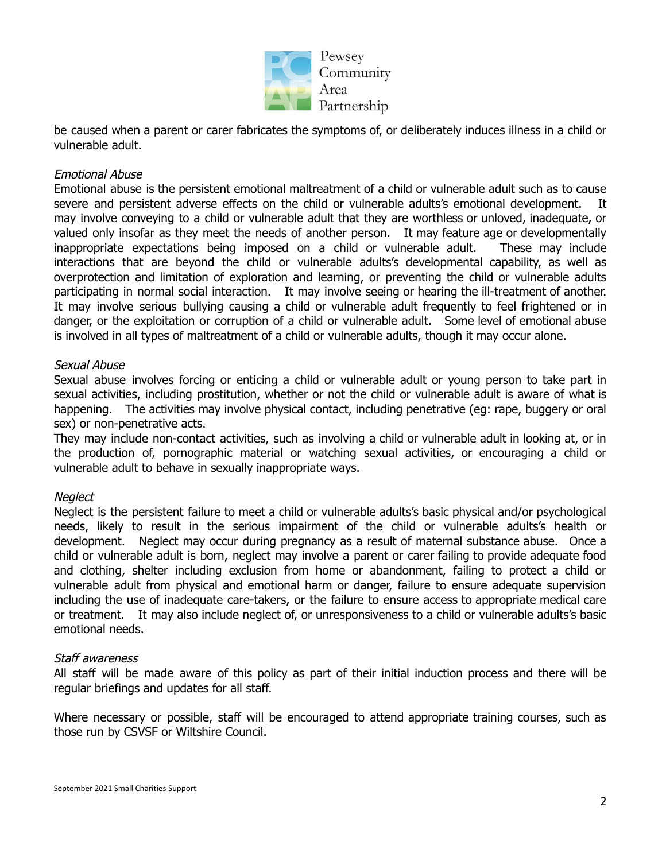

be caused when a parent or carer fabricates the symptoms of, or deliberately induces illness in a child or vulnerable adult.

## Emotional Abuse

Emotional abuse is the persistent emotional maltreatment of a child or vulnerable adult such as to cause severe and persistent adverse effects on the child or vulnerable adults's emotional development. may involve conveying to a child or vulnerable adult that they are worthless or unloved, inadequate, or valued only insofar as they meet the needs of another person. It may feature age or developmentally inappropriate expectations being imposed on a child or vulnerable adult. These may include interactions that are beyond the child or vulnerable adults's developmental capability, as well as overprotection and limitation of exploration and learning, or preventing the child or vulnerable adults participating in normal social interaction. It may involve seeing or hearing the ill-treatment of another. It may involve serious bullying causing a child or vulnerable adult frequently to feel frightened or in danger, or the exploitation or corruption of a child or vulnerable adult. Some level of emotional abuse is involved in all types of maltreatment of a child or vulnerable adults, though it may occur alone.

### Sexual Abuse

Sexual abuse involves forcing or enticing a child or vulnerable adult or young person to take part in sexual activities, including prostitution, whether or not the child or vulnerable adult is aware of what is happening. The activities may involve physical contact, including penetrative (eg: rape, buggery or oral sex) or non-penetrative acts.

They may include non-contact activities, such as involving a child or vulnerable adult in looking at, or in the production of, pornographic material or watching sexual activities, or encouraging a child or vulnerable adult to behave in sexually inappropriate ways.

### **Neglect**

Neglect is the persistent failure to meet a child or vulnerable adults's basic physical and/or psychological needs, likely to result in the serious impairment of the child or vulnerable adults's health or development. Neglect may occur during pregnancy as a result of maternal substance abuse. Once a child or vulnerable adult is born, neglect may involve a parent or carer failing to provide adequate food and clothing, shelter including exclusion from home or abandonment, failing to protect a child or vulnerable adult from physical and emotional harm or danger, failure to ensure adequate supervision including the use of inadequate care-takers, or the failure to ensure access to appropriate medical care or treatment. It may also include neglect of, or unresponsiveness to a child or vulnerable adults's basic emotional needs.

### Staff awareness

All staff will be made aware of this policy as part of their initial induction process and there will be regular briefings and updates for all staff.

Where necessary or possible, staff will be encouraged to attend appropriate training courses, such as those run by CSVSF or Wiltshire Council.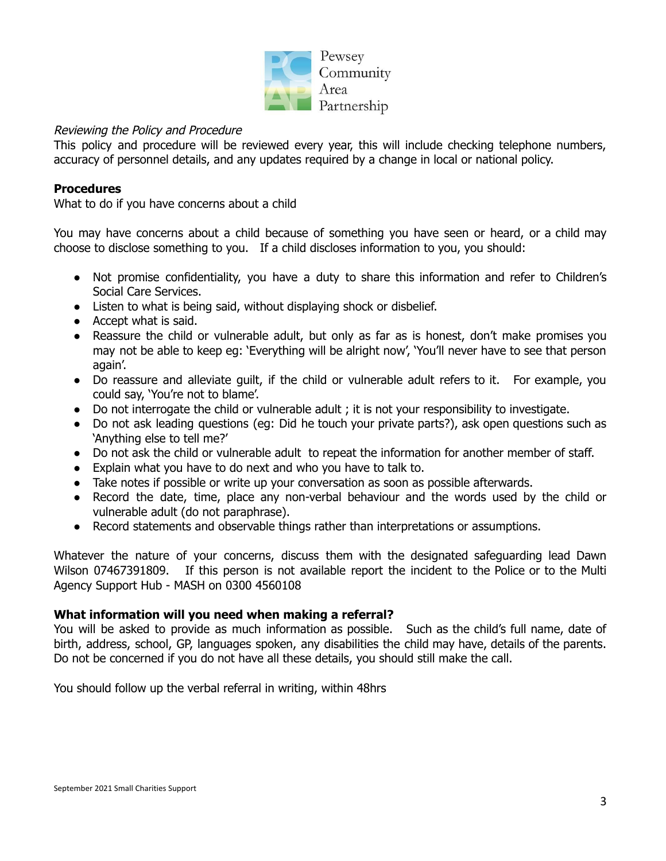

## Reviewing the Policy and Procedure

This policy and procedure will be reviewed every year, this will include checking telephone numbers, accuracy of personnel details, and any updates required by a change in local or national policy.

## **Procedures**

What to do if you have concerns about a child

You may have concerns about a child because of something you have seen or heard, or a child may choose to disclose something to you. If a child discloses information to you, you should:

- Not promise confidentiality, you have a duty to share this information and refer to Children's Social Care Services.
- Listen to what is being said, without displaying shock or disbelief.
- Accept what is said.
- Reassure the child or vulnerable adult, but only as far as is honest, don't make promises you may not be able to keep eg: 'Everything will be alright now', 'You'll never have to see that person again'.
- Do reassure and alleviate quilt, if the child or vulnerable adult refers to it. For example, you could say, 'You're not to blame'.
- Do not interrogate the child or vulnerable adult ; it is not your responsibility to investigate.
- Do not ask leading questions (eg: Did he touch your private parts?), ask open questions such as 'Anything else to tell me?'
- Do not ask the child or vulnerable adult to repeat the information for another member of staff.
- Explain what you have to do next and who you have to talk to.
- Take notes if possible or write up your conversation as soon as possible afterwards.
- Record the date, time, place any non-verbal behaviour and the words used by the child or vulnerable adult (do not paraphrase).
- Record statements and observable things rather than interpretations or assumptions.

Whatever the nature of your concerns, discuss them with the designated safeguarding lead Dawn Wilson 07467391809. If this person is not available report the incident to the Police or to the Multi Agency Support Hub - MASH on 0300 4560108

### **What information will you need when making a referral?**

You will be asked to provide as much information as possible. Such as the child's full name, date of birth, address, school, GP, languages spoken, any disabilities the child may have, details of the parents. Do not be concerned if you do not have all these details, you should still make the call.

You should follow up the verbal referral in writing, within 48hrs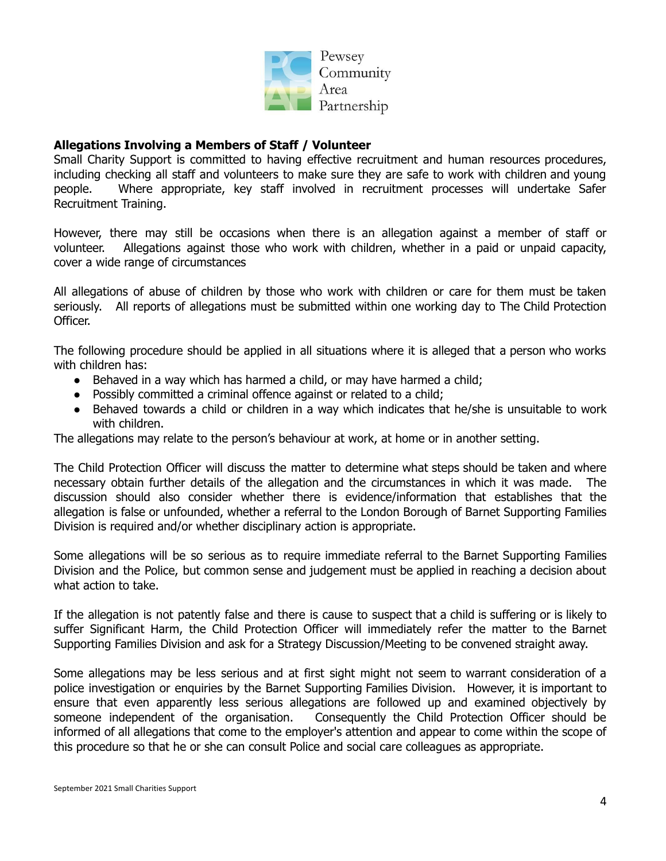

### **Allegations Involving a Members of Staff / Volunteer**

Small Charity Support is committed to having effective recruitment and human resources procedures, including checking all staff and volunteers to make sure they are safe to work with children and young people. Where appropriate, key staff involved in recruitment processes will undertake Safer Recruitment Training.

However, there may still be occasions when there is an allegation against a member of staff or volunteer. Allegations against those who work with children, whether in a paid or unpaid capacity, cover a wide range of circumstances

All allegations of abuse of children by those who work with children or care for them must be taken seriously. All reports of allegations must be submitted within one working day to The Child Protection Officer.

The following procedure should be applied in all situations where it is alleged that a person who works with children has:

- Behaved in a way which has harmed a child, or may have harmed a child;
- Possibly committed a criminal offence against or related to a child;
- Behaved towards a child or children in a way which indicates that he/she is unsuitable to work with children.

The allegations may relate to the person's behaviour at work, at home or in another setting.

The Child Protection Officer will discuss the matter to determine what steps should be taken and where necessary obtain further details of the allegation and the circumstances in which it was made. The discussion should also consider whether there is evidence/information that establishes that the allegation is false or unfounded, whether a referral to the London Borough of Barnet Supporting Families Division is required and/or whether disciplinary action is appropriate.

Some allegations will be so serious as to require immediate referral to the Barnet Supporting Families Division and the Police, but common sense and judgement must be applied in reaching a decision about what action to take.

If the allegation is not patently false and there is cause to suspect that a child is suffering or is likely to suffer Significant Harm, the Child Protection Officer will immediately refer the matter to the Barnet Supporting Families Division and ask for a Strategy Discussion/Meeting to be convened straight away.

Some allegations may be less serious and at first sight might not seem to warrant consideration of a police investigation or enquiries by the Barnet Supporting Families Division. However, it is important to ensure that even apparently less serious allegations are followed up and examined objectively by someone independent of the organisation. Consequently the Child Protection Officer should be informed of all allegations that come to the employer's attention and appear to come within the scope of this procedure so that he or she can consult Police and social care colleagues as appropriate.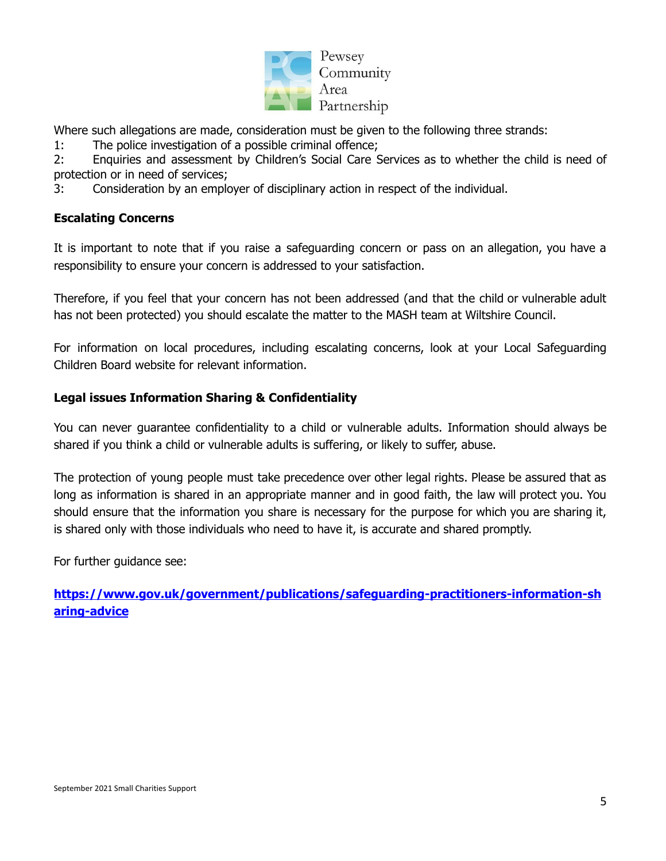

Where such allegations are made, consideration must be given to the following three strands:

1: The police investigation of a possible criminal offence;

2: Enquiries and assessment by Children's Social Care Services as to whether the child is need of protection or in need of services;

3: Consideration by an employer of disciplinary action in respect of the individual.

## **Escalating Concerns**

It is important to note that if you raise a safeguarding concern or pass on an allegation, you have a responsibility to ensure your concern is addressed to your satisfaction.

Therefore, if you feel that your concern has not been addressed (and that the child or vulnerable adult has not been protected) you should escalate the matter to the MASH team at Wiltshire Council.

For information on local procedures, including escalating concerns, look at your Local Safeguarding Children Board website for relevant information.

# **Legal issues Information Sharing & Confidentiality**

You can never guarantee confidentiality to a child or vulnerable adults. Information should always be shared if you think a child or vulnerable adults is suffering, or likely to suffer, abuse.

The protection of young people must take precedence over other legal rights. Please be assured that as long as information is shared in an appropriate manner and in good faith, the law will protect you. You should ensure that the information you share is necessary for the purpose for which you are sharing it, is shared only with those individuals who need to have it, is accurate and shared promptly.

For further guidance see:

**[https://www.gov.uk/government/publications/safeguarding-practitioners-information-sh](https://www.gov.uk/government/publications/safeguarding-practitioners-information-sharing-advice) [aring-advice](https://www.gov.uk/government/publications/safeguarding-practitioners-information-sharing-advice)**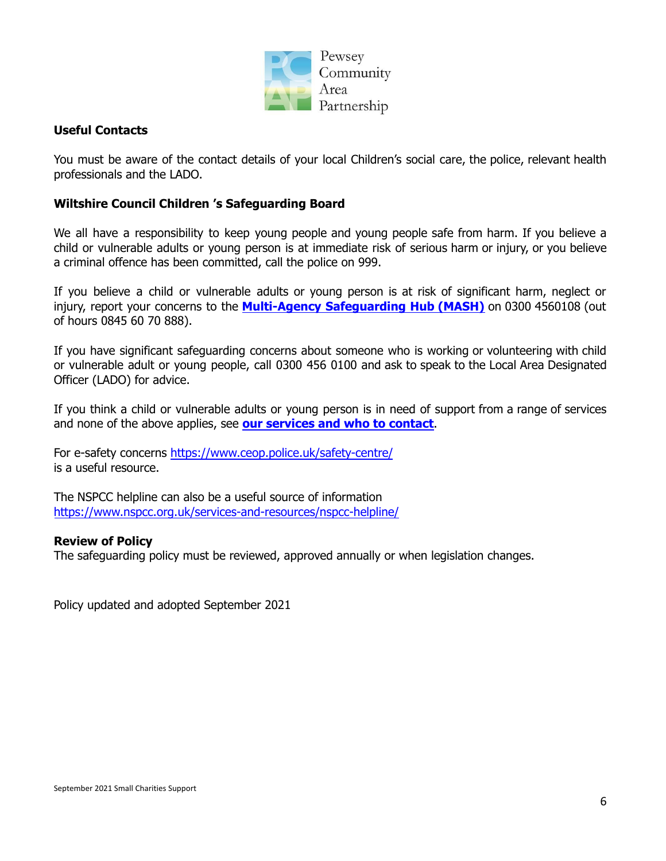

## **Useful Contacts**

You must be aware of the contact details of your local Children's social care, the police, relevant health professionals and the LADO.

## **Wiltshire Council Children 's Safeguarding Board**

We all have a responsibility to keep young people and young people safe from harm. If you believe a child or vulnerable adults or young person is at immediate risk of serious harm or injury, or you believe a criminal offence has been committed, call the police on 999.

If you believe a child or vulnerable adults or young person is at risk of significant harm, neglect or injury, report your concerns to the **Multi-Agency [Safeguarding](http://www.wiltshire.gov.uk/children-young-people-protection) Hub (MASH)** on 0300 4560108 (out of hours 0845 60 70 888).

If you have significant safeguarding concerns about someone who is working or volunteering with child or vulnerable adult or young people, call 0300 456 0100 and ask to speak to the Local Area Designated Officer (LADO) for advice.

If you think a child or vulnerable adults or young person is in need of support from a range of services and none of the above applies, see **our [services](http://www.wiltshire.gov.uk/children-young-people-contact) and who to contact**.

For e-safety concerns <https://www.ceop.police.uk/safety-centre/> is a useful resource.

The NSPCC helpline can also be a useful source of information <https://www.nspcc.org.uk/services-and-resources/nspcc-helpline/>

### **Review of Policy**

The safeguarding policy must be reviewed, approved annually or when legislation changes.

Policy updated and adopted September 2021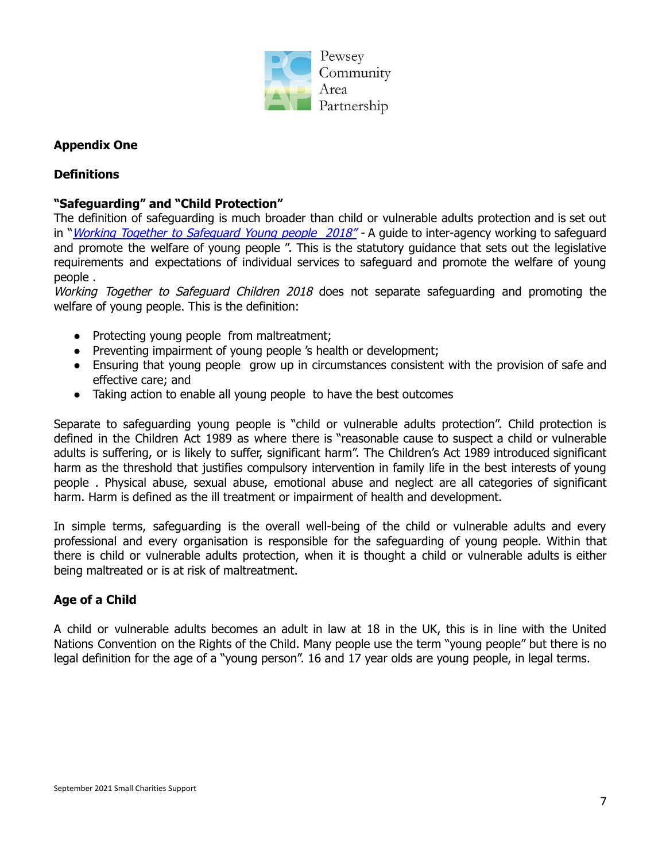

## **Appendix One**

## **Definitions**

## **"Safeguarding" and "Child Protection"**

The definition of safeguarding is much broader than child or vulnerable adults protection and is set out in "*Working Together to [Safeguard](https://www.gov.uk/government/publications/working-together-to-safeguard-children--2) Young people 2018"* - A guide to inter-agency working to safeguard and promote the welfare of young people ". This is the statutory guidance that sets out the legislative requirements and expectations of individual services to safeguard and promote the welfare of young people .

Working Together to Safeguard Children 2018 does not separate safeguarding and promoting the welfare of young people. This is the definition:

- Protecting young people from maltreatment;
- Preventing impairment of young people 's health or development;
- Ensuring that young people grow up in circumstances consistent with the provision of safe and effective care; and
- Taking action to enable all young people to have the best outcomes

Separate to safeguarding young people is "child or vulnerable adults protection". Child protection is defined in the Children Act 1989 as where there is "reasonable cause to suspect a child or vulnerable adults is suffering, or is likely to suffer, significant harm". The Children's Act 1989 introduced significant harm as the threshold that justifies compulsory intervention in family life in the best interests of young people . Physical abuse, sexual abuse, emotional abuse and neglect are all categories of significant harm. Harm is defined as the ill treatment or impairment of health and development.

In simple terms, safeguarding is the overall well-being of the child or vulnerable adults and every professional and every organisation is responsible for the safeguarding of young people. Within that there is child or vulnerable adults protection, when it is thought a child or vulnerable adults is either being maltreated or is at risk of maltreatment.

### **Age of a Child**

A child or vulnerable adults becomes an adult in law at 18 in the UK, this is in line with the United Nations Convention on the Rights of the Child. Many people use the term "young people" but there is no legal definition for the age of a "young person". 16 and 17 year olds are young people, in legal terms.